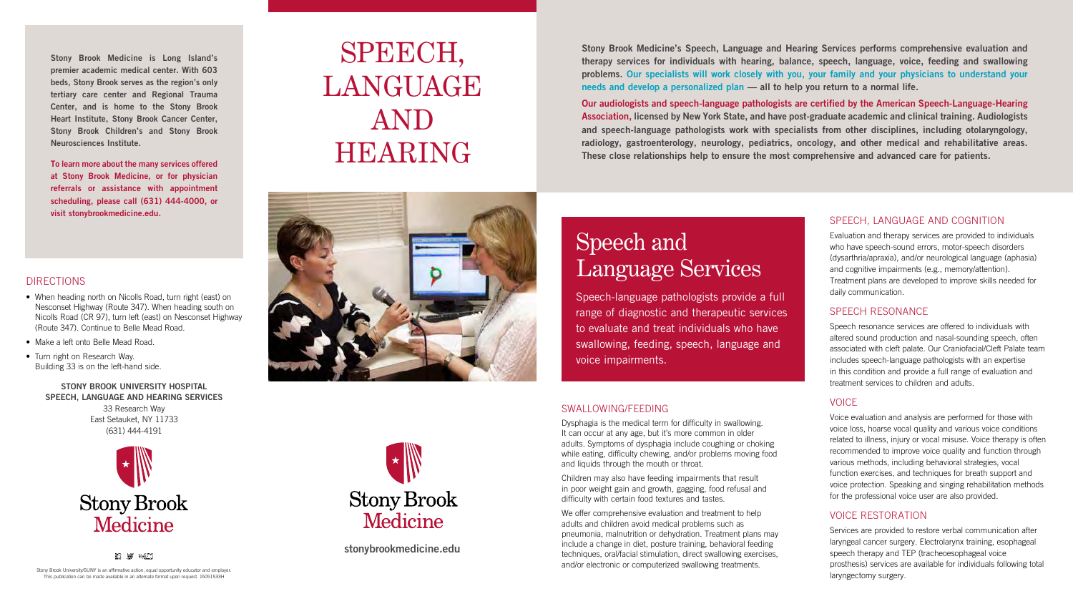

#### DIRECTIONS

- When heading north on Nicolls Road, turn right (east) on Nesconset Highway (Route 347). When heading south on Nicolls Road (CR 97), turn left (east) on Nesconset Highway (Route 347). Continue to Belle Mead Road.
- Make a left onto Belle Mead Road.
- Turn right on Research Way. Building 33 is on the left-hand side.

#### STONY BROOK UNIVERSITY HOSPITAL SPEECH, LANGUAGE AND HEARING SERVICES

33 Research Way East Setauket, NY 11733 (631) 444-4191



### SWALLOWING/FEEDING

We offer comprehensive evaluation and treatment to help adults and children avoid medical problems such as pneumonia, malnutrition or dehydration. Treatment plans may include a change in diet, posture training, behavioral feeding techniques, oral/facial stimulation, direct swallowing exercises, and/or electronic or computerized swallowing treatments.

Dysphagia is the medical term for difficulty in swallowing. It can occur at any age, but it's more common in older adults. Symptoms of dysphagia include coughing or choking while eating, difficulty chewing, and/or problems moving food and liquids through the mouth or throat.

Children may also have feeding impairments that result in poor weight gain and growth, gagging, food refusal and difficulty with certain food textures and tastes.

Stony Brook Medicine's Speech, Language and Hearing Services performs comprehensive evaluation and therapy services for individuals with hearing, balance, speech, language, voice, feeding and swallowing problems. Our specialists will work closely with you, your family and your physicians to understand your needs and develop a personalized plan — all to help you return to a normal life.

Our audiologists and speech-language pathologists are certified by the American Speech-Language-Hearing Association, licensed by New York State, and have post-graduate academic and clinical training. Audiologists and speech-language pathologists work with specialists from other disciplines, including otolaryngology, radiology, gastroenterology, neurology, pediatrics, oncology, and other medical and rehabilitative areas. These close relationships help to ensure the most comprehensive and advanced care for patients.

# SPEECH, **LANGUAGE** AND HEARING





stonybrookmedicine.edu

### SPEECH, LANGUAGE AND COGNITION

Evaluation and therapy services are provided to individuals who have speech-sound errors, motor-speech disorders (dysarthria/apraxia), and/or neurological language (aphasia) and cognitive impairments (e.g., memory/attention). Treatment plans are developed to improve skills needed for daily communication.

# SPEECH RESONANCE

Speech resonance services are offered to individuals with altered sound production and nasal-sounding speech, often associated with cleft palate. Our Craniofacial/Cleft Palate team includes speech-language pathologists with an expertise in this condition and provide a full range of evaluation and treatment services to children and adults.

# **VOICE**

Voice evaluation and analysis are performed for those with voice loss, hoarse vocal quality and various voice conditions related to illness, injury or vocal misuse. Voice therapy is often recommended to improve voice quality and function through various methods, including behavioral strategies, vocal function exercises, and techniques for breath support and voice protection. Speaking and singing rehabilitation methods for the professional voice user are also provided.

### VOICE RESTORATION

Services are provided to restore verbal communication after laryngeal cancer surgery. Electrolarynx training, esophageal speech therapy and TEP (tracheoesophageal voice prosthesis) services are available for individuals following total laryngectomy surgery.

# Speech and Language Services

Speech-language pathologists provide a full range of diagnostic and therapeutic services to evaluate and treat individuals who have swallowing, feeding, speech, language and voice impairments.

Stony Brook Medicine is Long Island's premier academic medical center. With 603 beds, Stony Brook serves as the region's only tertiary care center and Regional Trauma Center, and is home to the Stony Brook Heart Institute, Stony Brook Cancer Center, Stony Brook Children's and Stony Brook Neurosciences Institute.

To learn more about the many services offered at Stony Brook Medicine, or for physician referrals or assistance with appointment scheduling, please call (631) 444-4000, or visit stonybrookmedicine.edu.